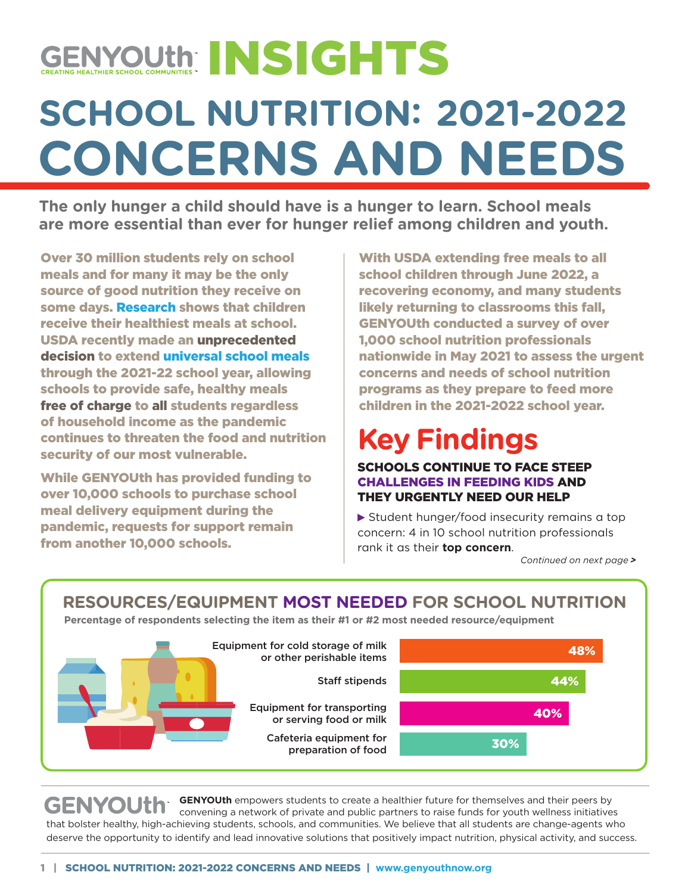# **SCHOOL NUTRITION: 2021-2022 CONCERNS AND NEEDS** GENYOUth INSIGHTS

**The only hunger a child should have is a hunger to learn. School meals are more essential than ever for hunger relief among children and youth.**

Over 30 million students rely on school meals and for many it may be the only source of good nutrition they receive on some day[s. Research sh](https://jamanetwork.com/journals/jamanetworkopen/fullarticle/2778453?utm_source=For_The_Media&utm_medium=referral&utm_campaign=ftm_links&utm_term=040921)ows that children receive their healthiest meals at school. USDA recently made an unprecedented decision to extend [universal school meals](https://www.usda.gov/media/press-releases/2021/04/20/usda-issues-pandemic-flexibilities-schools-and-day-care-facilities) through the 2021-22 school year, allowing schools to provide safe, healthy meals free of charge to all students regardless of household income as the pandemic continues to threaten the food and nutrition security of our most vulnerable.

While GENYOUth has provided funding to over 10,000 schools to purchase school meal delivery equipment during the pandemic, requests for support remain from another 10,000 schools.

With USDA extending free meals to all school children through June 2022, a recovering economy, and many students likely returning to classrooms this fall, GENYOUth conducted a survey of over 1,000 school nutrition professionals nationwide in May 2021 to assess the urgent concerns and needs of school nutrition programs as they prepare to feed more children in the 2021-2022 school year.

## **Key Findings**

SCHOOLS CONTINUE TO FACE STEEP CHALLENGES IN FEEDING KIDS AND THEY URGENTLY NEED OUR HELP

▶ Student hunger/food insecurity remains a top concern: 4 in 10 school nutrition professionals rank it as their **top concern**.

*Continued on next page >*

#### **RESOURCES/EQUIPMENT MOST NEEDED FOR SCHOOL NUTRITION**

**Percentage of respondents selecting the item as their #1 or #2 most needed resource/equipment**



 **GENYOUth** empowers students to create a healthier future for themselves and their peers by **GENYOUth**  convening a network of private and public partners to raise funds for youth wellness initiatives that bolster healthy, high-achieving students, schools, and communities. We believe that all students are change-agents who deserve the opportunity to identify and lead innovative solutions that positively impact nutrition, physical activity, and success.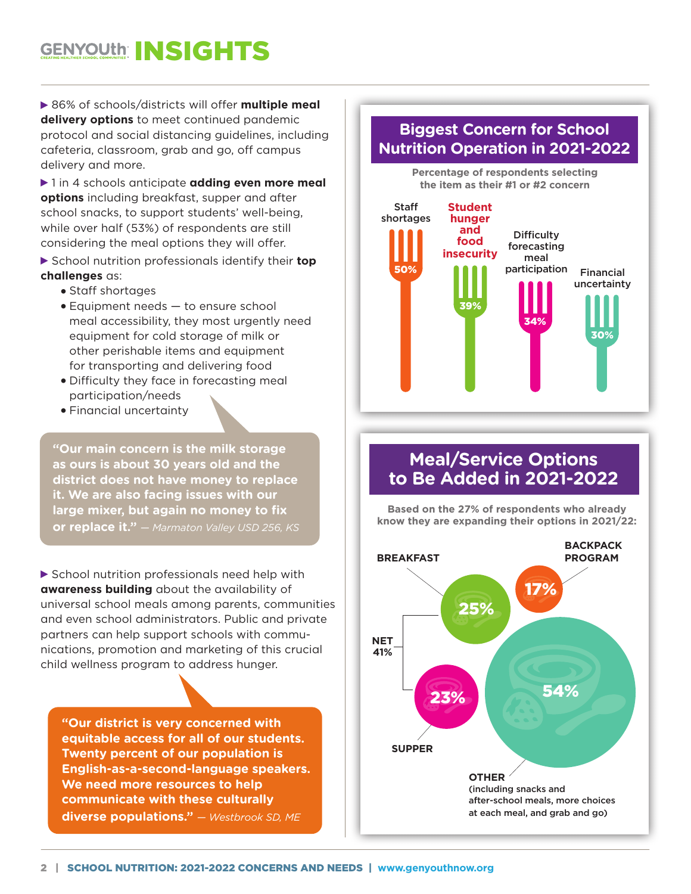### **GENYOUth INSIGHTS**

▶ 86% of schools/districts will offer **multiple meal delivery options** to meet continued pandemic protocol and social distancing guidelines, including cafeteria, classroom, grab and go, off campus delivery and more.

▶ 1 in 4 schools anticipate **adding even more meal options** including breakfast, supper and after school snacks, to support students' well-being, while over half (53%) of respondents are still considering the meal options they will offer.

 School nutrition professionals identify their **top challenges** as:

- Staff shortages
- Equipment needs to ensure school meal accessibility, they most urgently need equipment for cold storage of milk or other perishable items and equipment for transporting and delivering food
- Difficulty they face in forecasting meal participation/needs
- Financial uncertainty

40% **it. We are also facing issues with our "Our main concern is the milk storage as ours is about 30 years old and the district does not have money to replace large mixer, but again no money to fix or replace it."** *— Marmaton Valley USD 256, KS*

▶ School nutrition professionals need help with **awareness building** about the availability of universal school meals among parents, communities and even school administrators. Public and private partners can help support schools with communications, promotion and marketing of this crucial child wellness program to address hunger.

**"Our district is very concerned with equitable access for all of our students. Twenty percent of our population is English-as-a-second-language speakers. We need more resources to help communicate with these culturally diverse populations."** *— Westbrook SD, ME*

#### **Biggest Concern for School Nutrition Operation in 2021-2022**



#### **Meal/Service Options to Be Added in 2021-2022**

**Based on the 27% of respondents who already know they are expanding their options in 2021/22:**

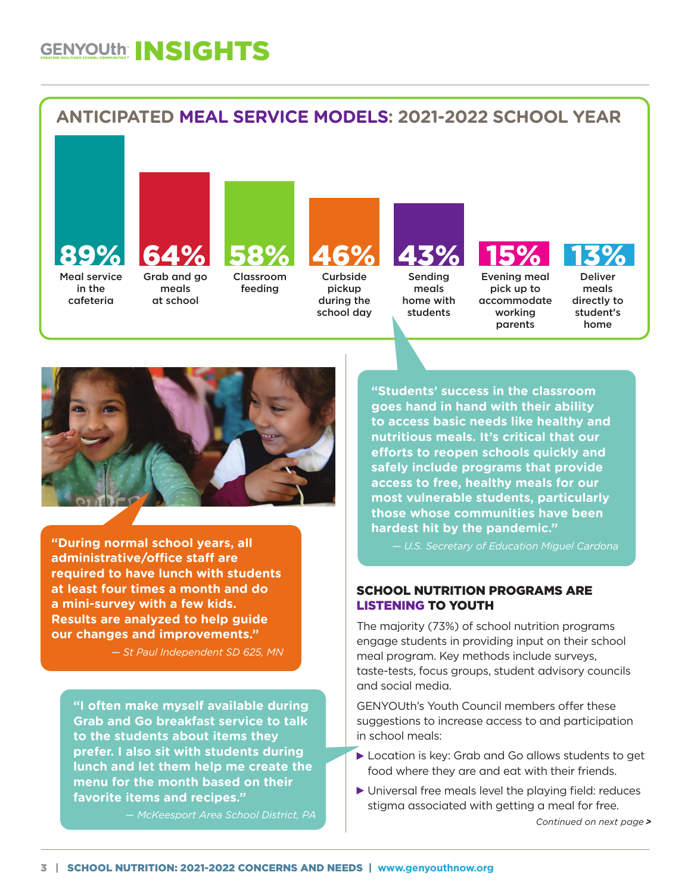### **GENYOUth INSIGHTS**





**"During normal school years, all administrative/office staff are required to have lunch with students at least four times a month and do a mini-survey with a few kids. Results are analyzed to help guide our changes and improvements."** 

*— St Paul Independent SD 625, MN*

**"I often make myself available during Grab and Go breakfast service to talk to the students about items they prefer. I also sit with students during lunch and let them help me create the menu for the month based on their favorite items and recipes."** 

*— McKeesport Area School District, PA*

**"Students' success in the classroom goes hand in hand with their ability to access basic needs like healthy and nutritious meals. It's critical that our efforts to reopen schools quickly and safely include programs that provide access to free, healthy meals for our most vulnerable students, particularly those whose communities have been hardest hit by the pandemic."** 

*— U.S. Secretary of Education Miguel Cardona*

#### SCHOOL NUTRITION PROGRAMS ARE LISTENING TO YOUTH

The majority (73%) of school nutrition programs engage students in providing input on their school meal program. Key methods include surveys, taste-tests, focus groups, student advisory councils and social media.

GENYOUth's Youth Council members offer these suggestions to increase access to and participation in school meals:

- Location is key: Grab and Go allows students to get food where they are and eat with their friends.
- Universal free meals level the playing field: reduces stigma associated with getting a meal for free.

*Continued on next page >*